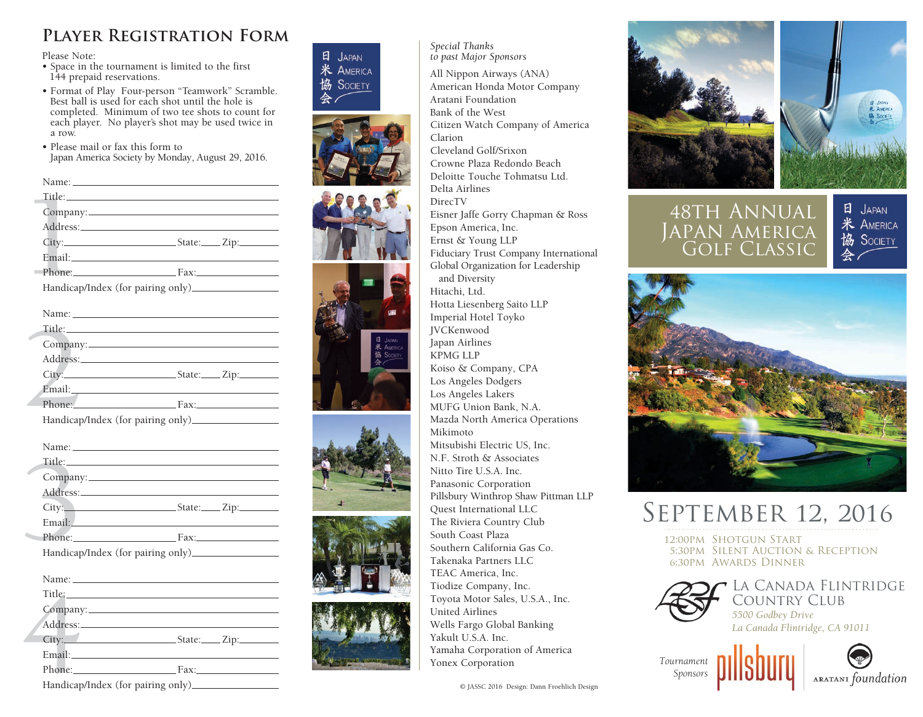## **Player Registration Form**

Please Note:

- Space in the tournament is limited to the first 144 prepaid reservations.
- Format of Play Four-person "Teamwork" Scramble. Best ball is used for each shot until the hole is completed. Minimum of two tee shots to count for each player. No player's shot may be used twice in a row.
- Please mail or fax this form to Japan America Society by Monday, August 29, 2016.

| Phone: Fax:                       |
|-----------------------------------|
| Handicap/Index (for pairing only) |

| Title: Title: Title: Title: Title: Title: Title: Title: Title: Title: Title: Title: Title: Title: Title: Title: Title: Title: Title: Title: Title: Title: Title: Title: Title: Title: Title: Title: Title: Title: Title: Title |                       |
|--------------------------------------------------------------------------------------------------------------------------------------------------------------------------------------------------------------------------------|-----------------------|
|                                                                                                                                                                                                                                |                       |
|                                                                                                                                                                                                                                |                       |
|                                                                                                                                                                                                                                | State:____Zip:_______ |
|                                                                                                                                                                                                                                |                       |
| Phone: Fax:                                                                                                                                                                                                                    |                       |
|                                                                                                                                                                                                                                |                       |

| Title: The contract of the contract of the contract of the contract of the contract of the contract of the contract of the contract of the contract of the contract of the contract of the contract of the contract of the con |  |
|--------------------------------------------------------------------------------------------------------------------------------------------------------------------------------------------------------------------------------|--|
|                                                                                                                                                                                                                                |  |
|                                                                                                                                                                                                                                |  |
|                                                                                                                                                                                                                                |  |
|                                                                                                                                                                                                                                |  |
| Phone: Fax: Fax:                                                                                                                                                                                                               |  |
|                                                                                                                                                                                                                                |  |
|                                                                                                                                                                                                                                |  |
|                                                                                                                                                                                                                                |  |
| Title: The contract of the contract of the contract of the contract of the contract of the contract of the contract of the contract of the contract of the contract of the contract of the contract of the contract of the con |  |
| Company:                                                                                                                                                                                                                       |  |
|                                                                                                                                                                                                                                |  |
| $City:$ $Subset:$ $Zip:$                                                                                                                                                                                                       |  |
|                                                                                                                                                                                                                                |  |
| Phone: Fax:                                                                                                                                                                                                                    |  |
|                                                                                                                                                                                                                                |  |
|                                                                                                                                                                                                                                |  |
|                                                                                                                                                                                                                                |  |
| Title: The company of the company of the company of the company of the company of the company of the company of the company of the company of the company of the company of the company of the company of the company of the c |  |
|                                                                                                                                                                                                                                |  |
|                                                                                                                                                                                                                                |  |
|                                                                                                                                                                                                                                |  |
|                                                                                                                                                                                                                                |  |
| Phone: Fax:                                                                                                                                                                                                                    |  |
|                                                                                                                                                                                                                                |  |

| Phone: Fax:                       |  |
|-----------------------------------|--|
| Handicap/Index (for pairing only) |  |
|                                   |  |







*Special Thanks to past Major Sponsors* All Nippon Airways (ANA) American Honda Motor Company Aratani Foundation Bank of the West Citizen Watch Company of America Clarion Cleveland Golf/Srixon Crowne Plaza Redondo Beach Deloitte Touche Tohmatsu Ltd. Delta Airlines DirecTV Eisner Jaffe Gorry Chapman & Ross Epson America, Inc. Ernst & Young LLP Fiduciary Trust Company International Global Organization for Leadership and Diversity Hitachi, Ltd. Hotta Liesenberg Saito LLP Imperial Hotel Toyko JVCKenwood Japan Airlines KPMG LLP Koiso & Company, CPA Los Angeles Dodgers Los Angeles Lakers MUFG Union Bank, N.A. Mazda North America Operations Mikimoto Mitsubishi Electric US, Inc. N.F. Stroth & Associates Nitto Tire U.S.A. Inc. Panasonic Corporation Pillsbury Winthrop Shaw Pittman LLP Quest International LLC The Riviera Country Club South Coast Plaza Southern California Gas Co. Takenaka Partners LLC TEAC America, Inc. Tiodize Company, Inc. Toyota Motor Sales, U.S.A., Inc. United Airlines Wells Fargo Global Banking Yakult U.S.A. Inc. Yamaha Corporation of America Yonex Corporation





 $H$  JAPAN **米 AMERICA** SOCIETY

48th Annual Japan America Golf Classic



# September 12, 2016

12:00pm Shotgun Start 5:30pm Silent Auction & Reception 6:30pm Awards Dinner



*Tournament Sponsors*